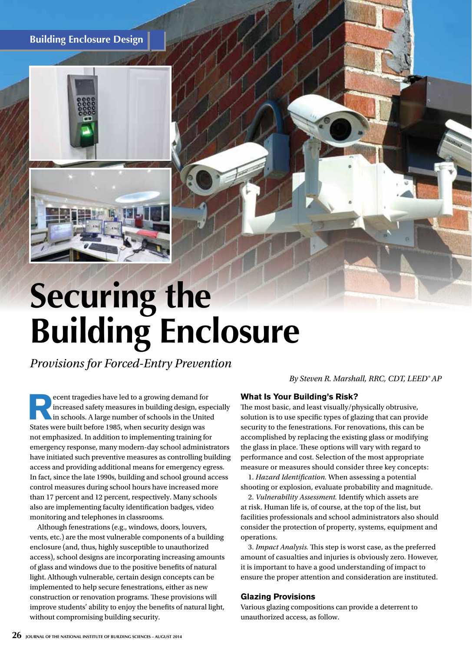**Building Enclosure Design**



# **Securing the Building Enclosure**

*Provisions for Forced-Entry Prevention*

*By Steven R. Marshall, RRC, CDT, LEED® AP*

**Recent tragedies have led to a growing demand for<br>increased safety measures in building design, esp<br>in schools. A large number of schools in the Unite<br>States were built before 1985, when sequrity design wes** increased safety measures in building design, especially in schools. A large number of schools in the United States were built before 1985, when security design was not emphasized. In addition to implementing training for emergency response, many modern-day school administrators have initiated such preventive measures as controlling building access and providing additional means for emergency egress. In fact, since the late 1990s, building and school ground access control measures during school hours have increased more than 17 percent and 12 percent, respectively. Many schools also are implementing faculty identification badges, video monitoring and telephones in classrooms.

Although fenestrations (e.g., windows, doors, louvers, vents, etc.) are the most vulnerable components of a building enclosure (and, thus, highly susceptible to unauthorized access), school designs are incorporating increasing amounts of glass and windows due to the positive benefits of natural light. Although vulnerable, certain design concepts can be implemented to help secure fenestrations, either as new construction or renovation programs. These provisions will improve students' ability to enjoy the benefits of natural light, without compromising building security.

# **What Is Your Building's Risk?**

The most basic, and least visually/physically obtrusive, solution is to use specific types of glazing that can provide security to the fenestrations. For renovations, this can be accomplished by replacing the existing glass or modifying the glass in place. These options will vary with regard to performance and cost. Selection of the most appropriate measure or measures should consider three key concepts:

1. *Hazard Identification.* When assessing a potential shooting or explosion, evaluate probability and magnitude.

2. *Vulnerability Assessment.* Identify which assets are at risk. Human life is, of course, at the top of the list, but facilities professionals and school administrators also should consider the protection of property, systems, equipment and operations.

3. *Impact Analysis.* This step is worst case, as the preferred amount of casualties and injuries is obviously zero. However, it is important to have a good understanding of impact to ensure the proper attention and consideration are instituted.

## **Glazing Provisions**

Various glazing compositions can provide a deterrent to unauthorized access, as follow.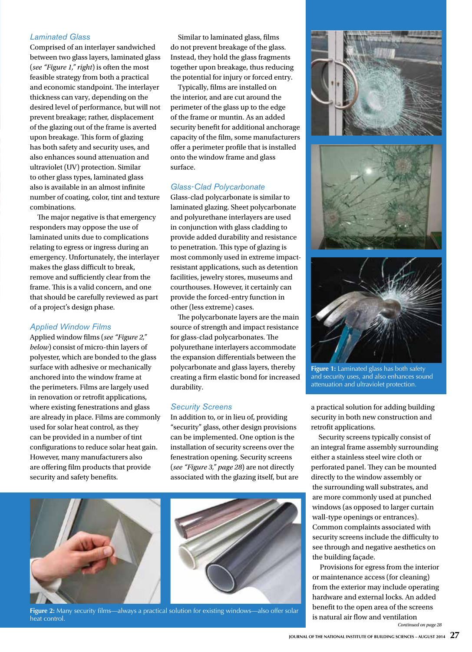#### *Laminated Glass*

Comprised of an interlayer sandwiched between two glass layers, laminated glass (*see "Figure 1," right*) is often the most feasible strategy from both a practical and economic standpoint. The interlayer thickness can vary, depending on the desired level of performance, but will not prevent breakage; rather, displacement of the glazing out of the frame is averted upon breakage. This form of glazing has both safety and security uses, and also enhances sound attenuation and ultraviolet (UV) protection. Similar to other glass types, laminated glass also is available in an almost infinite number of coating, color, tint and texture combinations.

The major negative is that emergency responders may oppose the use of laminated units due to complications relating to egress or ingress during an emergency. Unfortunately, the interlayer makes the glass difficult to break, remove and sufficiently clear from the frame. This is a valid concern, and one that should be carefully reviewed as part of a project's design phase.

#### *Applied Window Films*

Applied window films (*see "Figure 2," below*) consist of micro-thin layers of polyester, which are bonded to the glass surface with adhesive or mechanically anchored into the window frame at the perimeters. Films are largely used in renovation or retrofit applications, where existing fenestrations and glass are already in place. Films are commonly used for solar heat control, as they can be provided in a number of tint configurations to reduce solar heat gain. However, many manufacturers also are offering film products that provide security and safety benefits.

Similar to laminated glass, films do not prevent breakage of the glass. Instead, they hold the glass fragments together upon breakage, thus reducing the potential for injury or forced entry.

Typically, films are installed on the interior, and are cut around the perimeter of the glass up to the edge of the frame or muntin. As an added security benefit for additional anchorage capacity of the film, some manufacturers offer a perimeter profile that is installed onto the window frame and glass surface.

## *Glass-Clad Polycarbonate*

Glass-clad polycarbonate is similar to laminated glazing. Sheet polycarbonate and polyurethane interlayers are used in conjunction with glass cladding to provide added durability and resistance to penetration. This type of glazing is most commonly used in extreme impactresistant applications, such as detention facilities, jewelry stores, museums and courthouses. However, it certainly can provide the forced-entry function in other (less extreme) cases.

The polycarbonate layers are the main source of strength and impact resistance for glass-clad polycarbonates. The polyurethane interlayers accommodate the expansion differentials between the polycarbonate and glass layers, thereby creating a firm elastic bond for increased durability.

#### *Security Screens*

In addition to, or in lieu of, providing "security" glass, other design provisions can be implemented. One option is the installation of security screens over the fenestration opening. Security screens (*see "Figure 3," page 28*) are not directly associated with the glazing itself, but are



**Figure 2:** Many security films—always a practical solution for existing windows—also offer solar heat control.







**Figure 1:** Laminated glass has both safety and security uses, and also enhances sound attenuation and ultraviolet protection.

a practical solution for adding building security in both new construction and retrofit applications.

Security screens typically consist of an integral frame assembly surrounding either a stainless steel wire cloth or perforated panel. They can be mounted directly to the window assembly or the surrounding wall substrates, and are more commonly used at punched windows (as opposed to larger curtain wall-type openings or entrances). Common complaints associated with security screens include the difficulty to see through and negative aesthetics on the building façade.

Provisions for egress from the interior or maintenance access (for cleaning) from the exterior may include operating hardware and external locks. An added benefit to the open area of the screens is natural air flow and ventilation *Continued on page 28*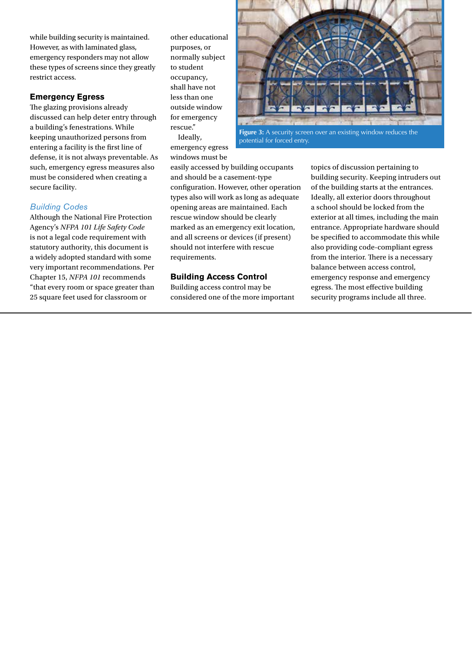while building security is maintained. However, as with laminated glass, emergency responders may not allow these types of screens since they greatly restrict access.

## **Emergency Egress**

The glazing provisions already discussed can help deter entry through a building's fenestrations. While keeping unauthorized persons from entering a facility is the first line of defense, it is not always preventable. As such, emergency egress measures also must be considered when creating a secure facility.

#### *Building Codes*

Although the National Fire Protection Agency's *NFPA 101 Life Safety Code* is not a legal code requirement with statutory authority, this document is a widely adopted standard with some very important recommendations. Per Chapter 15, *NFPA 101* recommends "that every room or space greater than 25 square feet used for classroom or

other educational purposes, or normally subject to student occupancy, shall have not less than one outside window for emergency rescue." Ideally, emergency egress

windows must be



potential for forced entry.

easily accessed by building occupants and should be a casement-type configuration. However, other operation types also will work as long as adequate opening areas are maintained. Each rescue window should be clearly marked as an emergency exit location, and all screens or devices (if present) should not interfere with rescue requirements.

#### **Building Access Control**

Building access control may be considered one of the more important topics of discussion pertaining to building security. Keeping intruders out of the building starts at the entrances. Ideally, all exterior doors throughout a school should be locked from the exterior at all times, including the main entrance. Appropriate hardware should be specified to accommodate this while also providing code-compliant egress from the interior. There is a necessary balance between access control, emergency response and emergency egress. The most effective building security programs include all three.